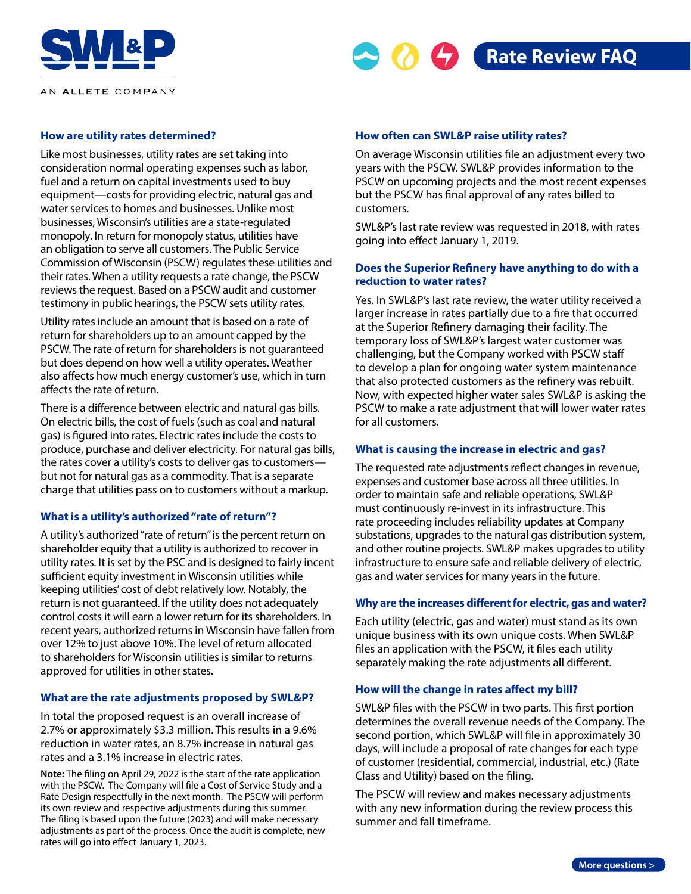





## **How are utility rates determined?**

Like most businesses, utility rates are set taking into consideration normal operating expenses such as labor, fuel and a return on capital investments used to buy equipment—costs for providing electric, natural gas and water services to homes and businesses. Unlike most businesses, Wisconsin's utilities are a state-regulated monopoly. In return for monopoly status, utilities have an obligation to serve all customers. The Public Service Commission of Wisconsin (PSCW) regulates these utilities and their rates. When a utility requests a rate change, the PSCW reviews the request. Based on a PSCW audit and customer testimony in public hearings, the PSCW sets utility rates.

Utility rates include an amount that is based on a rate of return for shareholders up to an amount capped by the PSCW. The rate of return for shareholders is not guaranteed but does depend on how well a utility operates. Weather also affects how much energy customer's use, which in turn affects the rate of return.

There is a difference between electric and natural gas bills. On electric bills, the cost of fuels (such as coal and natural gas) is figured into rates. Electric rates include the costs to produce, purchase and deliver electricity. For natural gas bills, the rates cover a utility's costs to deliver gas to customers but not for natural gas as a commodity. That is a separate charge that utilities pass on to customers without a markup.

## **What is a utility's authorized "rate of return"?**

A utility's authorized "rate of return" is the percent return on shareholder equity that a utility is authorized to recover in utility rates. It is set by the PSC and is designed to fairly incent sufficient equity investment in Wisconsin utilities while keeping utilities' cost of debt relatively low. Notably, the return is not guaranteed. If the utility does not adequately control costs it will earn a lower return for its shareholders. In recent years, authorized returns in Wisconsin have fallen from over 12% to just above 10%. The level of return allocated to shareholders for Wisconsin utilities is similar to returns approved for utilities in other states.

## **What are the rate adjustments proposed by SWL&P?**

In total the proposed request is an overall increase of 2.7% or approximately \$3.3 million. This results in a 9.6% reduction in water rates, an 8.7% increase in natural gas rates and a 3.1% increase in electric rates.

**Note:** The filing on April 29, 2022 is the start of the rate application with the PSCW. The Company will file a Cost of Service Study and a Rate Design respectfully in the next month. The PSCW will perform its own review and respective adjustments during this summer. The filing is based upon the future (2023) and will make necessary adjustments as part of the process. Once the audit is complete, new rates will go into effect January 1, 2023.

#### **How often can SWL&P raise utility rates?**

On average Wisconsin utilities file an adjustment every two years with the PSCW. SWL&P provides information to the PSCW on upcoming projects and the most recent expenses but the PSCW has final approval of any rates billed to customers.

SWL&P's last rate review was requested in 2018, with rates going into effect January 1, 2019.

# **Does the Superior Refinery have anything to do with a reduction to water rates?**

Yes. In SWL&P's last rate review, the water utility received a larger increase in rates partially due to a fire that occurred at the Superior Refinery damaging their facility. The temporary loss of SWL&P's largest water customer was challenging, but the Company worked with PSCW staff to develop a plan for ongoing water system maintenance that also protected customers as the refinery was rebuilt. Now, with expected higher water sales SWL&P is asking the PSCW to make a rate adjustment that will lower water rates for all customers.

## **What is causing the increase in electric and gas?**

The requested rate adjustments reflect changes in revenue, expenses and customer base across all three utilities. In order to maintain safe and reliable operations, SWL&P must continuously re-invest in its infrastructure. This rate proceeding includes reliability updates at Company substations, upgrades to the natural gas distribution system, and other routine projects. SWL&P makes upgrades to utility infrastructure to ensure safe and reliable delivery of electric, gas and water services for many years in the future.

## **Why are the increases different for electric, gas and water?**

Each utility (electric, gas and water) must stand as its own unique business with its own unique costs. When SWL&P files an application with the PSCW, it files each utility separately making the rate adjustments all different.

## **How will the change in rates affect my bill?**

SWL&P files with the PSCW in two parts. This first portion determines the overall revenue needs of the Company. The second portion, which SWL&P will file in approximately 30 days, will include a proposal of rate changes for each type of customer (residential, commercial, industrial, etc.) (Rate Class and Utility) based on the filing.

The PSCW will review and makes necessary adjustments with any new information during the review process this summer and fall timeframe.